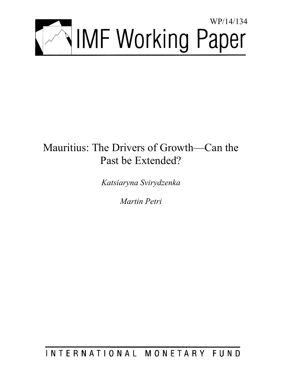

# Mauritius: The Drivers of Growth—Can the Past be Extended?

*Katsiaryna Svirydzenka* 

*Martin Petri* 

INTERNATIONAL MONETARY FUND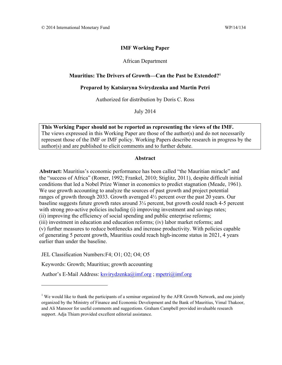# **IMF Working Paper**

# African Department

# **Mauritius: The Drivers of Growth—Can the Past be Extended?1**

# **Prepared by Katsiaryna Svirydzenka and Martin Petri**

Authorized for distribution by Doris C. Ross

July 2014

**This Working Paper should not be reported as representing the views of the IMF.**  The views expressed in this Working Paper are those of the author(s) and do not necessarily represent those of the IMF or IMF policy. Working Papers describe research in progress by the author(s) and are published to elicit comments and to further debate.

# **Abstract**

**Abstract:** Mauritius's economic performance has been called "the Mauritian miracle" and the "success of Africa" (Romer, 1992; Frankel, 2010; Stiglitz, 2011), despite difficult initial conditions that led a Nobel Prize Winner in economics to predict stagnation (Meade, 1961). We use growth accounting to analyze the sources of past growth and project potential ranges of growth through 2033. Growth averaged 4½ percent over the past 20 years. Our baseline suggests future growth rates around 3¼ percent, but growth could reach 4-5 percent with strong pro-active policies including (i) improving investment and savings rates; (ii) improving the efficiency of social spending and public enterprise reforms; (iii) investment in education and education reforms; (iv) labor market reforms; and (v) further measures to reduce bottlenecks and increase productivity. With policies capable of generating 5 percent growth, Mauritius could reach high-income status in 2021, 4 years earlier than under the baseline.

JEL Classification Numbers:F4; O1; O2; O4; O5

Keywords: Growth; Mauritius; growth accounting

Author's E-Mail Address: ksvirydzenka@imf.org ; mpetri@imf.org

<sup>&</sup>lt;sup>1</sup> We would like to thank the participants of a seminar organized by the AFR Growth Network, and one jointly organized by the Ministry of Finance and Economic Development and the Bank of Mauritius, Vimal Thakoor, and Ali Mansoor for useful comments and suggestions. Graham Campbell provided invaluable research support. Adja Thiam provided excellent editorial assistance.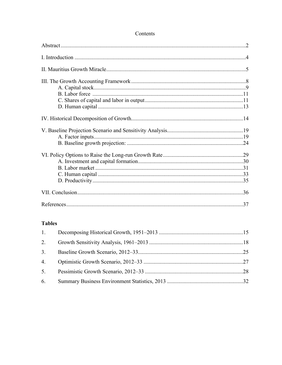# Contents

# **Tables**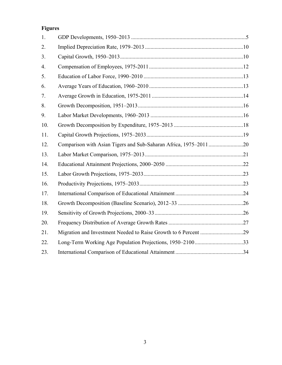# **Figures**

| 1.               |  |
|------------------|--|
| 2.               |  |
| 3.               |  |
| $\overline{4}$ . |  |
| 5.               |  |
| 6.               |  |
| 7.               |  |
| 8.               |  |
| 9.               |  |
| 10.              |  |
| 11.              |  |
| 12.              |  |
| 13.              |  |
| 14.              |  |
| 15.              |  |
| 16.              |  |
| 17.              |  |
| 18.              |  |
| 19.              |  |
| 20.              |  |
| 21.              |  |
| 22.              |  |
| 23.              |  |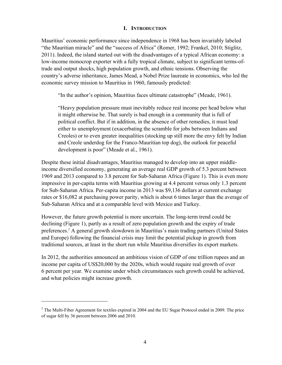# **I. INTRODUCTION**

Mauritius' economic performance since independence in 1968 has been invariably labeled "the Mauritian miracle" and the "success of Africa" (Romer, 1992; Frankel, 2010; Stiglitz, 2011). Indeed, the island started out with the disadvantages of a typical African economy: a low-income monocrop exporter with a fully tropical climate, subject to significant terms-oftrade and output shocks, high population growth, and ethnic tensions. Observing the country's adverse inheritance, James Mead, a Nobel Prize laureate in economics, who led the economic survey mission to Mauritius in 1960, famously predicted:

"In the author's opinion, Mauritius faces ultimate catastrophe" (Meade, 1961).

"Heavy population pressure must inevitably reduce real income per head below what it might otherwise be. That surely is bad enough in a community that is full of political conflict. But if in addition, in the absence of other remedies, it must lead either to unemployment (exacerbating the scramble for jobs between Indians and Creoles) or to even greater inequalities (stocking up still more the envy felt by Indian and Creole underdog for the Franco-Mauritian top dog), the outlook for peaceful development is poor" (Meade et al., 1961).

Despite these initial disadvantages, Mauritius managed to develop into an upper middleincome diversified economy, generating an average real GDP growth of 5.3 percent between 1969 and 2013 compared to 3.8 percent for Sub-Saharan Africa (Figure 1). This is even more impressive in per-capita terms with Mauritius growing at 4.4 percent versus only 1.3 percent for Sub-Saharan Africa. Per-capita income in 2013 was \$9,136 dollars at current exchange rates or \$16,082 at purchasing power parity, which is about 6 times larger than the average of Sub-Saharan Africa and at a comparable level with Mexico and Turkey.

However, the future growth potential is more uncertain. The long-term trend could be declining (Figure 1), partly as a result of zero population growth and the expiry of trade preferences.2 A general growth slowdown in Mauritius's main trading partners (United States and Europe) following the financial crisis may limit the potential pickup in growth from traditional sources, at least in the short run while Mauritius diversifies its export markets.

In 2012, the authorities announced an ambitious vision of GDP of one trillion rupees and an income per capita of US\$20,000 by the 2020s, which would require real growth of over 6 percent per year. We examine under which circumstances such growth could be achieved, and what policies might increase growth.

1

 $2$  The Multi-Fiber Agreement for textiles expired in 2004 and the EU Sugar Protocol ended in 2009. The price of sugar fell by 36 percent between 2006 and 2010.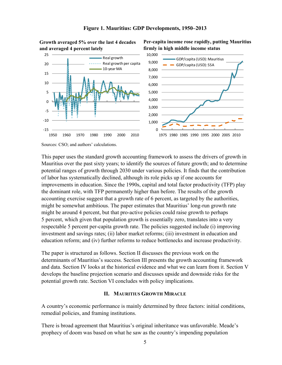

### **Figure 1. Mauritius: GDP Developments, 1950–2013**



**Per-capita income rose rapidly, putting Mauritius** 

### **Growth averaged 5% over the last 4 decades and averaged 4 percent lately**

Sources: CSO; and authors' calculations.

This paper uses the standard growth accounting framework to assess the drivers of growth in Mauritius over the past sixty years; to identify the sources of future growth; and to determine potential ranges of growth through 2030 under various policies. It finds that the contribution of labor has systematically declined, although its role picks up if one accounts for improvements in education. Since the 1990s, capital and total factor productivity (TFP) play the dominant role, with TFP permanently higher than before. The results of the growth accounting exercise suggest that a growth rate of 6 percent, as targeted by the authorities, might be somewhat ambitious. The paper estimates that Mauritius' long-run growth rate might be around 4 percent, but that pro-active policies could raise growth to perhaps 5 percent, which given that population growth is essentially zero, translates into a very respectable 5 percent per-capita growth rate. The policies suggested include (i) improving investment and savings rates; (ii) labor market reforms; (iii) investment in education and education reform; and (iv) further reforms to reduce bottlenecks and increase productivity.

The paper is structured as follows. Section II discusses the previous work on the determinants of Mauritius's success. Section III presents the growth accounting framework and data. Section IV looks at the historical evidence and what we can learn from it. Section V develops the baseline projection scenario and discusses upside and downside risks for the potential growth rate. Section VI concludes with policy implications.

# **II. MAURITIUS GROWTH MIRACLE**

A country's economic performance is mainly determined by three factors: initial conditions, remedial policies, and framing institutions.

There is broad agreement that Mauritius's original inheritance was unfavorable. Meade's prophecy of doom was based on what he saw as the country's impending population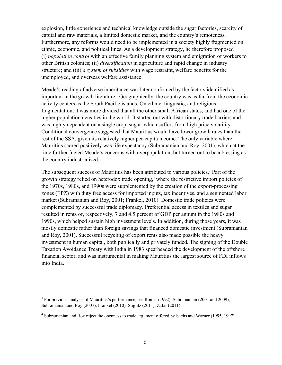explosion, little experience and technical knowledge outside the sugar factories, scarcity of capital and raw materials, a limited domestic market, and the country's remoteness. Furthermore, any reforms would need to be implemented in a society highly fragmented on ethnic, economic, and political lines. As a development strategy, he therefore proposed (i) *population control* with an effective family planning system and emigration of workers to other British colonies; (ii) *diversification* in agriculture and rapid change in industry structure; and (iii) *a system of subsidies* with wage restraint, welfare benefits for the unemployed, and overseas welfare assistance.

Meade's reading of adverse inheritance was later confirmed by the factors identified as important in the growth literature. Geographically, the country was as far from the economic activity centers as the South Pacific islands. On ethnic, linguistic, and religious fragmentation, it was more divided that all the other small African states, and had one of the higher population densities in the world. It started out with distortionary trade barriers and was highly dependent on a single crop, sugar, which suffers from high price volatility. Conditional convergence suggested that Mauritius would have lower growth rates than the rest of the SSA, given its relatively higher per-capita income. The only variable where Mauritius scored positively was life expectancy (Subramanian and Roy, 2001), which at the time further fueled Meade's concerns with overpopulation, but turned out to be a blessing as the country industrialized.

The subsequent success of Mauritius has been attributed to various policies.<sup>3</sup> Part of the growth strategy relied on heterodox trade opening,<sup>4</sup> where the restrictive import policies of the 1970s, 1980s, and 1990s were supplemented by the creation of the export-processing zones (EPZ) with duty free access for imported inputs, tax incentives, and a segmented labor market (Subramanian and Roy, 2001; Frankel, 2010). Domestic trade policies were complemented by successful trade diplomacy. Preferential access in textiles and sugar resulted in rents of, respectively, 7 and 4.5 percent of GDP per annum in the 1980s and 1990s, which helped sustain high investment levels. In addition, during those years, it was mostly domestic rather than foreign savings that financed domestic investment (Subramanian and Roy, 2001). Successful recycling of export rents also made possible the heavy investment in human capital, both publically and privately funded. The signing of the Double Taxation Avoidance Treaty with India in 1983 spearheaded the development of the offshore financial sector, and was instrumental in making Mauritius the largest source of FDI inflows into India.

1

 $3$  For previous analysis of Mauritius's performance, see Romer (1992), Subramanian (2001 and 2009), Subramanian and Roy (2007), Frankel (2010), Stiglitz (2011), Zafar (2011).

<sup>&</sup>lt;sup>4</sup> Subramanian and Roy reject the openness to trade argument offered by Sachs and Warner (1995, 1997).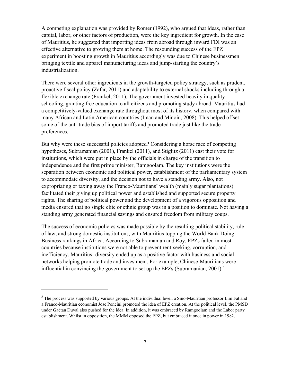A competing explanation was provided by Romer (1992), who argued that ideas, rather than capital, labor, or other factors of production, were the key ingredient for growth. In the case of Mauritius, he suggested that importing ideas from abroad through inward FDI was an effective alternative to growing them at home. The resounding success of the EPZ experiment in boosting growth in Mauritius accordingly was due to Chinese businessmen bringing textile and apparel manufacturing ideas and jump-starting the country's industrialization.

There were several other ingredients in the growth-targeted policy strategy, such as prudent, proactive fiscal policy (Zafar, 2011) and adaptability to external shocks including through a flexible exchange rate (Frankel, 2011). The government invested heavily in quality schooling, granting free education to all citizens and promoting study abroad. Mauritius had a competitively-valued exchange rate throughout most of its history, when compared with many African and Latin American countries (Iman and Minoiu, 2008). This helped offset some of the anti-trade bias of import tariffs and promoted trade just like the trade preferences.

But why were these successful policies adopted? Considering a horse race of competing hypotheses, Subramanian (2001), Frankel (2011), and Stiglitz (2011) cast their vote for institutions, which were put in place by the officials in charge of the transition to independence and the first prime minister, Ramgoolam. The key institutions were the separation between economic and political power, establishment of the parliamentary system to accommodate diversity, and the decision not to have a standing army. Also, not expropriating or taxing away the Franco-Mauritians' wealth (mainly sugar plantations) facilitated their giving up political power and established and supported secure property rights. The sharing of political power and the development of a vigorous opposition and media ensured that no single elite or ethnic group was in a position to dominate. Not having a standing army generated financial savings and ensured freedom from military coups.

The success of economic policies was made possible by the resulting political stability, rule of law, and strong domestic institutions, with Mauritius topping the World Bank Doing Business rankings in Africa. According to Subramanian and Roy, EPZs failed in most countries because institutions were not able to prevent rent-seeking, corruption, and inefficiency. Mauritius' diversity ended up as a positive factor with business and social networks helping promote trade and investment. For example, Chinese-Mauritians were influential in convincing the government to set up the EPZs (Subramanian,  $2001$ ).<sup>5</sup>

1

 $<sup>5</sup>$  The process was supported by various groups. At the individual level, a Sino-Mauritian professor Lim Fat and</sup> a Franco-Mauritian economist Jose Poncini promoted the idea of EPZ creation. At the political level, the PMSD under Gaëtan Duval also pushed for the idea. In addition, it was embraced by Ramgoolam and the Labor party establishment. Whilst in opposition, the MMM opposed the EPZ, but embraced it once in power in 1982.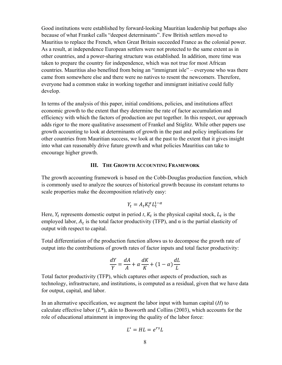Good institutions were established by forward-looking Mauritian leadership but perhaps also because of what Frankel calls "deepest determinants". Few British settlers moved to Mauritius to replace the French, when Great Britain succeeded France as the colonial power. As a result, at independence European settlers were not protected to the same extent as in other countries, and a power-sharing structure was established. In addition, more time was taken to prepare the country for independence, which was not true for most African countries. Mauritius also benefited from being an "immigrant isle" – everyone who was there came from somewhere else and there were no natives to resent the newcomers. Therefore, everyone had a common stake in working together and immigrant initiative could fully develop.

In terms of the analysis of this paper, initial conditions, policies, and institutions affect economic growth to the extent that they determine the rate of factor accumulation and efficiency with which the factors of production are put together. In this respect, our approach adds rigor to the more qualitative assessment of Frankel and Stiglitz. While other papers use growth accounting to look at determinants of growth in the past and policy implications for other countries from Mauritian success, we look at the past to the extent that it gives insight into what can reasonably drive future growth and what policies Mauritius can take to encourage higher growth.

# **III. THE GROWTH ACCOUNTING FRAMEWORK**

The growth accounting framework is based on the Cobb-Douglas production function, which is commonly used to analyze the sources of historical growth because its constant returns to scale properties make the decomposition relatively easy:

$$
Y_t = A_t K_t^{\alpha} L_t^{1-\alpha}
$$

Here,  $Y_t$  represents domestic output in period  $t$ ,  $K_t$  is the physical capital stock,  $L_t$  is the employed labor,  $A_t$  is the total factor productivity (TFP), and  $\alpha$  is the partial elasticity of output with respect to capital.

Total differentiation of the production function allows us to decompose the growth rate of output into the contributions of growth rates of factor inputs and total factor productivity:

$$
\frac{dY}{Y} = \frac{dA}{A} + \alpha \frac{dK}{K} + (1 - \alpha) \frac{dL}{L}
$$

Total factor productivity (TFP), which captures other aspects of production, such as technology, infrastructure, and institutions, is computed as a residual, given that we have data for output, capital, and labor.

In an alternative specification, we augment the labor input with human capital (*H*) to calculate effective labor (*L\**), akin to Bosworth and Collins (2003), which accounts for the role of educational attainment in improving the quality of the labor force:

$$
L^* = HL = e^{rs}L
$$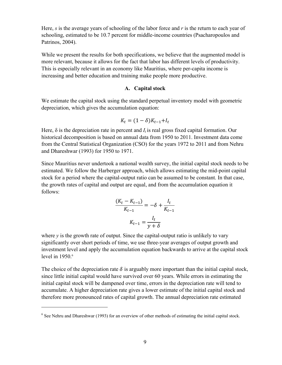Here, *s* is the average years of schooling of the labor force and *r* is the return to each year of schooling, estimated to be 10.7 percent for middle-income countries (Psacharopoulos and Patrinos, 2004).

While we present the results for both specifications, we believe that the augmented model is more relevant, because it allows for the fact that labor has different levels of productivity. This is especially relevant in an economy like Mauritius, where per-capita income is increasing and better education and training make people more productive.

# **A. Capital stock**

We estimate the capital stock using the standard perpetual inventory model with geometric depreciation, which gives the accumulation equation:

$$
K_t = (1 - \delta)K_{t-1} + I_t
$$

Here,  $\delta$  is the depreciation rate in percent and  $I_t$  is real gross fixed capital formation. Our historical decomposition is based on annual data from 1950 to 2011. Investment data come from the Central Statistical Organization (CSO) for the years 1972 to 2011 and from Nehru and Dhareshwar (1993) for 1950 to 1971.

Since Mauritius never undertook a national wealth survey, the initial capital stock needs to be estimated. We follow the Harberger approach, which allows estimating the mid-point capital stock for a period where the capital-output ratio can be assumed to be constant. In that case, the growth rates of capital and output are equal, and from the accumulation equation it follows:

$$
\frac{(K_t - K_{t-1})}{K_{t-1}} = -\delta + \frac{I_t}{K_{t-1}}
$$

$$
K_{t-1} = \frac{I_t}{y + \delta}
$$

where  $y$  is the growth rate of output. Since the capital-output ratio is unlikely to vary significantly over short periods of time, we use three-year averages of output growth and investment level and apply the accumulation equation backwards to arrive at the capital stock level in  $1950$ .<sup>6</sup>

The choice of the depreciation rate  $\delta$  is arguably more important than the initial capital stock, since little initial capital would have survived over 60 years. While errors in estimating the initial capital stock will be dampened over time, errors in the depreciation rate will tend to accumulate. A higher depreciation rate gives a lower estimate of the initial capital stock and therefore more pronounced rates of capital growth. The annual depreciation rate estimated

 $\overline{a}$ 

<sup>&</sup>lt;sup>6</sup> See Nehru and Dhareshwar (1993) for an overview of other methods of estimating the initial capital stock.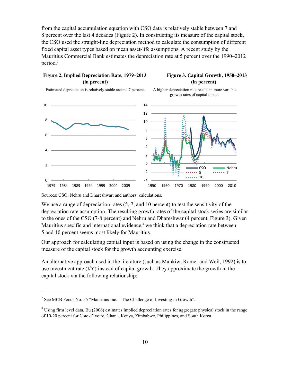from the capital accumulation equation with CSO data is relatively stable between 7 and 8 percent over the last 4 decades (Figure 2). In constructing its measure of the capital stock, the CSO used the straight-line depreciation method to calculate the consumption of different fixed capital asset types based on mean asset-life assumptions. A recent study by the Mauritius Commercial Bank estimates the depreciation rate at 5 percent over the 1990–2012 period.<sup>7</sup>

# **Figure 2. Implied Depreciation Rate, 1979–2013 Figure 3. Capital Growth, 1950–2013 (in percent) (in percent)**

Estimated depreciation is relatively stable around 7 percent. A higher depreciation rate results in more variable





Sources: CSO; Nehru and Dhareshwar; and authors' calculations.

We use a range of depreciation rates  $(5, 7, 2)$  and 10 percent) to test the sensitivity of the depreciation rate assumption. The resulting growth rates of the capital stock series are similar to the ones of the CSO (7-8 percent) and Nehru and Dhareshwar (4 percent, Figure 3). Given Mauritius specific and international evidence, $s$  we think that a depreciation rate between 5 and 10 percent seems most likely for Mauritius.

Our approach for calculating capital input is based on using the change in the constructed measure of the capital stock for the growth accounting exercise.

An alternative approach used in the literature (such as Mankiw, Romer and Weil, 1992) is to use investment rate (I/Y) instead of capital growth. They approximate the growth in the capital stock via the following relationship:

 $\overline{a}$ 

<sup>&</sup>lt;sup>7</sup> See MCB Focus No. 55 "Mauritius Inc. – The Challenge of Investing in Growth".

 $8$  Using firm level data, Bu (2006) estimates implied depreciation rates for aggregate physical stock in the range of 10-20 percent for Cote d'Ivoire, Ghana, Kenya, Zimbabwe, Philippines, and South Korea.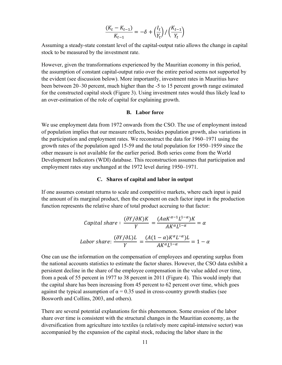$$
\frac{(K_t-K_{t-1})}{K_{t-1}}=-\delta+\left(\frac{l_t}{Y_t}\right)/\left(\frac{K_{t-1}}{Y_t}\right)
$$

Assuming a steady-state constant level of the capital-output ratio allows the change in capital stock to be measured by the investment rate.

However, given the transformations experienced by the Mauritian economy in this period, the assumption of constant capital-output ratio over the entire period seems not supported by the evident (see discussion below). More importantly, investment rates in Mauritius have been between 20–30 percent, much higher than the -5 to 15 percent growth range estimated for the constructed capital stock (Figure 3). Using investment rates would thus likely lead to an over-estimation of the role of capital for explaining growth.

# **B. Labor force**

We use employment data from 1972 onwards from the CSO. The use of employment instead of population implies that our measure reflects, besides population growth, also variations in the participation and employment rates. We reconstruct the data for 1960–1971 using the growth rates of the population aged 15-59 and the total population for 1950–1959 since the other measure is not available for the earlier period. Both series come from the World Development Indicators (WDI) database. This reconstruction assumes that participation and employment rates stay unchanged at the 1972 level during 1950–1971.

# **C. Shares of capital and labor in output**

If one assumes constant returns to scale and competitive markets, where each input is paid the amount of its marginal product, then the exponent on each factor input in the production function represents the relative share of total product accruing to that factor:

Capital share: 
$$
\frac{(\partial Y/\partial K)K}{Y} = \frac{(A\alpha K^{\alpha-1}L^{1-\alpha})K}{AK^{\alpha}L^{1-\alpha}} = \alpha
$$

\n Labor share: 
$$
\frac{(\partial Y/\partial L)L}{Y} = \frac{(A(1-\alpha)K^{\alpha}L^{-\alpha})L}{AK^{\alpha}L^{1-\alpha}} = 1 - \alpha
$$

One can use the information on the compensation of employees and operating surplus from the national accounts statistics to estimate the factor shares. However, the CSO data exhibit a persistent decline in the share of the employee compensation in the value added over time, from a peak of 55 percent in 1977 to 38 percent in 2011 (Figure 4). This would imply that the capital share has been increasing from 45 percent to 62 percent over time, which goes against the typical assumption of  $\alpha = 0.35$  used in cross-country growth studies (see Bosworth and Collins, 2003, and others).

There are several potential explanations for this phenomenon. Some erosion of the labor share over time is consistent with the structural changes in the Mauritian economy, as the diversification from agriculture into textiles (a relatively more capital-intensive sector) was accompanied by the expansion of the capital stock, reducing the labor share in the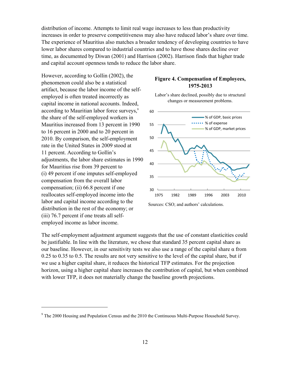distribution of income. Attempts to limit real wage increases to less than productivity increases in order to preserve competitiveness may also have reduced labor's share over time. The experience of Mauritius also matches a broader tendency of developing countries to have lower labor shares compared to industrial countries and to have those shares decline over time, as documented by Diwan (2001) and Harrison (2002). Harrison finds that higher trade and capital account openness tends to reduce the labor share.

However, according to Gollin (2002), the phenomenon could also be a statistical artifact, because the labor income of the selfemployed is often treated incorrectly as capital income in national accounts. Indeed, according to Mauritian labor force surveys,<sup>9</sup> the share of the self-employed workers in Mauritius increased from 13 percent in 1990 to 16 percent in 2000 and to 20 percent in 2010. By comparison, the self-employment rate in the United States in 2009 stood at 11 percent. According to Gollin's adjustments, the labor share estimates in 1990 for Mauritius rise from 39 percent to (i) 49 percent if one imputes self-employed compensation from the overall labor compensation; (ii) 66.8 percent if one reallocates self-employed income into the labor and capital income according to the distribution in the rest of the economy; or (iii) 76.7 percent if one treats all selfemployed income as labor income.

<u>.</u>

# **Figure 4. Compensation of Employees, 1975-2013**





Sources: CSO; and authors' calculations.

The self-employment adjustment argument suggests that the use of constant elasticities could be justifiable. In line with the literature, we chose that standard 35 percent capital share as our baseline. However, in our sensitivity tests we also use a range of the capital share  $\alpha$  from 0.25 to 0.35 to 0.5. The results are not very sensitive to the level of the capital share, but if we use a higher capital share, it reduces the historical TFP estimates. For the projection horizon, using a higher capital share increases the contribution of capital, but when combined with lower TFP, it does not materially change the baseline growth projections.

 $9$  The 2000 Housing and Population Census and the 2010 the Continuous Multi-Purpose Household Survey.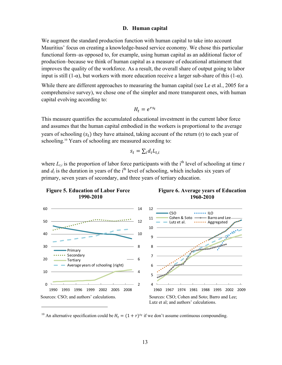### **D. Human capital**

We augment the standard production function with human capital to take into account Mauritius' focus on creating a knowledge-based service economy. We chose this particular functional form–as opposed to, for example, using human capital as an additional factor of production–because we think of human capital as a measure of educational attainment that improves the quality of the workforce. As a result, the overall share of output going to labor input is still  $(1-\alpha)$ , but workers with more education receive a larger sub-share of this  $(1-\alpha)$ .

While there are different approaches to measuring the human capital (see Le et al., 2005 for a comprehensive survey), we chose one of the simpler and more transparent ones, with human capital evolving according to:

$$
H_t = e^{rs_t}
$$

This measure quantifies the accumulated educational investment in the current labor force and assumes that the human capital embodied in the workers is proportional to the average years of schooling  $(s_t)$  they have attained, taking account of the return (r) to each year of schooling.<sup>10</sup> Years of schooling are measured according to:

$$
s_t = \sum_i d_i L_{t,i}
$$

where  $L_{t,i}$  is the proportion of labor force participants with the i<sup>th</sup> level of schooling at time *t* and  $d_i$  is the duration in years of the i<sup>th</sup> level of schooling, which includes six years of primary, seven years of secondary, and three years of tertiary education.







<sup>10</sup> An alternative specification could be  $H_t = (1 + r)^{s_t}$  if we don't assume continuous compounding.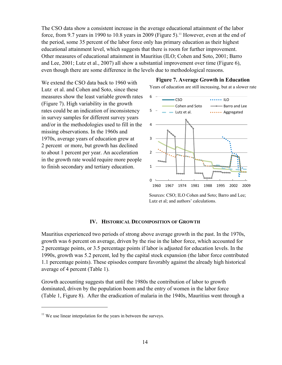The CSO data show a consistent increase in the average educational attainment of the labor force, from 9.7 years in 1990 to 10.8 years in 2009 (Figure 5).<sup>11</sup> However, even at the end of the period, some 35 percent of the labor force only has primary education as their highest educational attainment level, which suggests that there is room for further improvement. Other measures of educational attainment in Mauritius (ILO; Cohen and Soto, 2001; Barro and Lee, 2001; Lutz et al., 2007) all show a substantial improvement over time (Figure 6), even though there are some difference in the levels due to methodological reasons.

We extend the CSO data back to 1960 with Lutz et al. and Cohen and Soto, since these measures show the least variable growth rates (Figure 7). High variability in the growth rates could be an indication of inconsistency in survey samples for different survey years and/or in the methodologies used to fill in the missing observations. In the 1960s and 1970s, average years of education grew at 2 percent or more, but growth has declined to about 1 percent per year. An acceleration in the growth rate would require more people to finish secondary and tertiary education.

### **Figure 7. Average Growth in Education**

Years of education are still increasing, but at a slower rate



Sources: CSO; ILO Cohen and Soto; Barro and Lee; Lutz et al; and authors' calculations.

# **IV. HISTORICAL DECOMPOSITION OF GROWTH**

Mauritius experienced two periods of strong above average growth in the past. In the 1970s, growth was 6 percent on average, driven by the rise in the labor force, which accounted for 2 percentage points, or 3.5 percentage points if labor is adjusted for education levels. In the 1990s, growth was 5.2 percent, led by the capital stock expansion (the labor force contributed 1.1 percentage points). These episodes compare favorably against the already high historical average of 4 percent (Table 1).

Growth accounting suggests that until the 1980s the contribution of labor to growth dominated, driven by the population boom and the entry of women in the labor force (Table 1, Figure 8). After the eradication of malaria in the 1940s, Mauritius went through a

 $\overline{a}$ 

 $11$  We use linear interpolation for the years in between the surveys.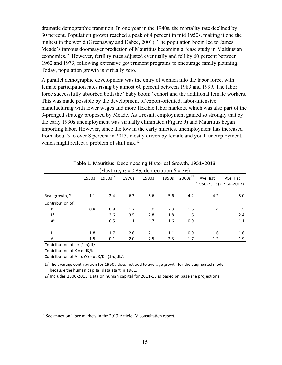dramatic demographic transition. In one year in the 1940s, the mortality rate declined by 30 percent. Population growth reached a peak of 4 percent in mid 1950s, making it one the highest in the world (Greenaway and Dabee, 2001). The population boom led to James Meade's famous doomsayer prediction of Mauritius becoming a "case study in Malthusian economics." However, fertility rates adjusted eventually and fell by 60 percent between 1962 and 1973, following extensive government programs to encourage family planning. Today, population growth is virtually zero.

A parallel demographic development was the entry of women into the labor force, with female participation rates rising by almost 60 percent between 1983 and 1999. The labor force successfully absorbed both the "baby boom" cohort and the additional female workers. This was made possible by the development of export-oriented, labor-intensive manufacturing with lower wages and more flexible labor markets, which was also part of the 3-pronged strategy proposed by Meade. As a result, employment gained so strongly that by the early 1990s unemployment was virtually eliminated (Figure 9) and Mauritius began importing labor. However, since the low in the early nineties, unemployment has increased from about 3 to over 8 percent in 2013, mostly driven by female and youth unemployment, which might reflect a problem of skill mix.<sup>12</sup>

| (Elasticity $\alpha$ = 0.35, depreciation $\delta$ = 7%)                                  |        |     |     |     |     |          |                             |  |  |  |
|-------------------------------------------------------------------------------------------|--------|-----|-----|-----|-----|----------|-----------------------------|--|--|--|
| $2000s^{2/}$<br>$1960s^{1/2}$<br>1990s<br>1950s<br>1980s<br>1970s<br>Ave Hist<br>Ave Hist |        |     |     |     |     |          |                             |  |  |  |
|                                                                                           |        |     |     |     |     |          |                             |  |  |  |
| 1.1                                                                                       | 2.4    | 6.3 | 5.6 | 5.6 | 4.2 | 4.2      | 5.0                         |  |  |  |
|                                                                                           |        |     |     |     |     |          |                             |  |  |  |
| 0.8                                                                                       | 0.8    | 1.7 | 1.0 | 2.3 | 1.6 | 1.4      | 1.5                         |  |  |  |
|                                                                                           | 2.6    | 3.5 | 2.8 | 1.8 | 1.6 | $\cdots$ | 2.4                         |  |  |  |
|                                                                                           | 0.5    | 1.1 | 1.7 | 1.6 | 0.9 |          | 1.1                         |  |  |  |
| 1.8                                                                                       | 1.7    | 2.6 | 2.1 | 1.1 | 0.9 | 1.6      | 1.6                         |  |  |  |
| $-1.5$                                                                                    | $-0.1$ | 2.0 | 2.5 | 2.3 | 1.7 | 1.2      | 1.9                         |  |  |  |
|                                                                                           |        |     |     |     |     |          | $(1950-2013)$ $(1960-2013)$ |  |  |  |

| Table 1. Mauritius: Decomposing Historical Growth, 1951-2013 |
|--------------------------------------------------------------|
| $\{F $ acticity $\alpha = 0.2F$ depreciation $\delta = 70/1$ |

Contribution of  $L = (1 - \alpha)dL/L$ 

Contribution of  $K = \alpha dK/K$ 

 $\overline{a}$ 

Contribution of  $A = dY/Y - \alpha dK/K - (1-\alpha)dL/L$ 

1/ The average contribution for 1960s does not add to average growth for the augmented model because the human capital data start in 1961.

2/ Includes 2000-2013. Data on human capital for 2011-13 is based on baseline projections.

<sup>&</sup>lt;sup>12</sup> See annex on labor markets in the 2013 Article IV consultation report.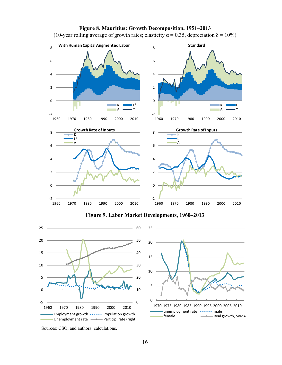

# **Figure 8. Mauritius: Growth Decomposition, 1951–2013**

(10-year rolling average of growth rates; elasticity  $\alpha = 0.35$ , depreciation  $\delta = 10\%$ )

**Figure 9. Labor Market Developments, 1960–2013**





Sources: CSO; and authors' calculations.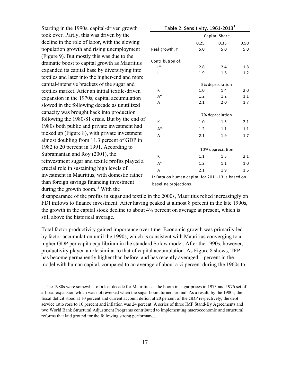Starting in the 1990s, capital-driven growth took over. Partly, this was driven by the decline in the role of labor, with the slowing population growth and rising unemployment (Figure 9). But mostly this was due to the dramatic boost to capital growth as Mauritius expanded its capital base by diversifying into textiles and later into the higher-end and more capital-intensive brackets of the sugar and textiles market. After an initial textile-driven expansion in the 1970s, capital accumulation slowed in the following decade as unutilized capacity was brought back into production following the 1980-81 crisis. But by the end of 1980s both public and private investment had picked up (Figure 8), with private investment almost doubling from 11.3 percent of GDP in 1982 to 20 percent in 1991. According to Subramanian and Roy (2001), the reinvestment sugar and textile profits played a crucial role in sustaining high levels of investment in Mauritius, with domestic rather than foreign savings financing investment during the growth boom.<sup>13</sup> With the

 $\overline{a}$ 

| Table 2. Sensitivity, $1961-2013^1$ |                 |                  |      |  |  |  |  |  |
|-------------------------------------|-----------------|------------------|------|--|--|--|--|--|
|                                     | Capital Share   |                  |      |  |  |  |  |  |
|                                     | 0.25            | 0.35             | 0.50 |  |  |  |  |  |
| Real growth, Y                      | 5.0             | 5.0              | 5.0  |  |  |  |  |  |
| Contribution of:                    |                 |                  |      |  |  |  |  |  |
| $L^*$                               | 2.8             | 2.4              | 1.8  |  |  |  |  |  |
| L                                   | 1.9             | 1.6              | 1.2  |  |  |  |  |  |
|                                     | 5% depreciation |                  |      |  |  |  |  |  |
| К                                   | 1.0             | 1.4              | 2.0  |  |  |  |  |  |
| $A^*$                               | 1.2             | 1.2              | 1.1  |  |  |  |  |  |
| A                                   | 2.1             | 2.0              | 1.7  |  |  |  |  |  |
|                                     |                 | 7% depreciation  |      |  |  |  |  |  |
| К                                   | 1.0             | 1.5              | 2.1  |  |  |  |  |  |
| $A^*$                               | 1.2             | 1.1              | 1.1  |  |  |  |  |  |
| A                                   | 2.1             | 1.9              | 1.7  |  |  |  |  |  |
|                                     |                 |                  |      |  |  |  |  |  |
|                                     |                 | 10% depreciation |      |  |  |  |  |  |
| К                                   | 1.1             | 1.5              | 2.1  |  |  |  |  |  |
| $A^*$                               | 1.2             | 1.1              | 1.0  |  |  |  |  |  |
| A                                   | 2.1             | 1.9              | 1.6  |  |  |  |  |  |

1/ Data on human capital for 2011-13 is based on baseline projections.

disappearance of the profits in sugar and textile in the 2000s, Mauritius relied increasingly on FDI inflows to finance investment. After having peaked at almost 8 percent in the late 1990s, the growth in the capital stock decline to about 4½ percent on average at present, which is still above the historical average.

Total factor productivity gained importance over time. Economic growth was primarily led by factor accumulation until the 1990s, which is consistent with Mauritius converging to a higher GDP per capita equilibrium in the standard Solow model. After the 1990s, however, productivity played a role similar to that of capital accumulation. As Figure 8 shows, TFP has become permanently higher than before, and has recently averaged 1 percent in the model with human capital, compared to an average of about a ¼ percent during the 1960s to

<sup>&</sup>lt;sup>13</sup> The 1980s were somewhat of a lost decade for Mauritius as the boom in sugar prices in 1973 and 1976 set of a fiscal expansion which was not reversed when the sugar boom turned around. As a result, by the 1980s, the fiscal deficit stood at 10 percent and current account deficit at 20 percent of the GDP respectively, the debt service ratio rose to 10 percent and inflation was 24 percent. A series of three IMF Stand-By Agreements and two World Bank Structural Adjustment Programs contributed to implementing macroeconomic and structural reforms that laid ground for the following strong performance.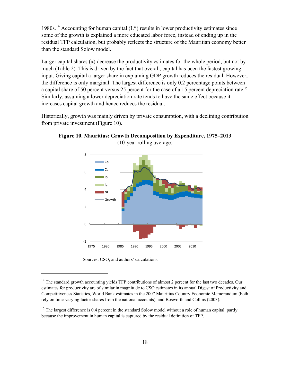1980s.<sup>14</sup> Accounting for human capital  $(L^*)$  results in lower productivity estimates since some of the growth is explained a more educated labor force, instead of ending up in the residual TFP calculation, but probably reflects the structure of the Mauritian economy better than the standard Solow model.

Larger capital shares ( $\alpha$ ) decrease the productivity estimates for the whole period, but not by much (Table 2). This is driven by the fact that overall, capital has been the fastest growing input. Giving capital a larger share in explaining GDP growth reduces the residual. However, the difference is only marginal. The largest difference is only 0.2 percentage points between a capital share of 50 percent versus 25 percent for the case of a 15 percent depreciation rate.<sup>15</sup> Similarly, assuming a lower depreciation rate tends to have the same effect because it increases capital growth and hence reduces the residual.

Historically, growth was mainly driven by private consumption, with a declining contribution from private investment (Figure 10).



**Figure 10. Mauritius: Growth Decomposition by Expenditure, 1975–2013**  (10-year rolling average)

Sources: CSO; and authors' calculations.

 $\overline{a}$ 

<sup>&</sup>lt;sup>14</sup> The standard growth accounting yields TFP contributions of almost 2 percent for the last two decades. Our estimates for productivity are of similar in magnitude to CSO estimates in its annual Digest of Productivity and Competitiveness Statistics, World Bank estimates in the 2007 Mauritius Country Economic Memorandum (both rely on time-varying factor shares from the national accounts), and Bosworth and Collins (2003).

<sup>&</sup>lt;sup>15</sup> The largest difference is 0.4 percent in the standard Solow model without a role of human capital, partly because the improvement in human capital is captured by the residual definition of TFP.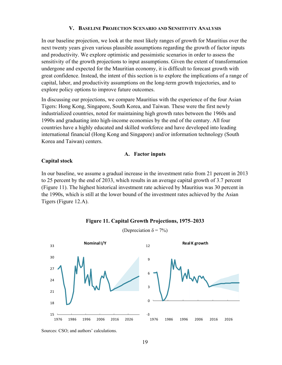# **V. BASELINE PROJECTION SCENARIO AND SENSITIVITY ANALYSIS**

In our baseline projection, we look at the most likely ranges of growth for Mauritius over the next twenty years given various plausible assumptions regarding the growth of factor inputs and productivity. We explore optimistic and pessimistic scenarios in order to assess the sensitivity of the growth projections to input assumptions. Given the extent of transformation undergone and expected for the Mauritian economy, it is difficult to forecast growth with great confidence. Instead, the intent of this section is to explore the implications of a range of capital, labor, and productivity assumptions on the long-term growth trajectories, and to explore policy options to improve future outcomes.

In discussing our projections, we compare Mauritius with the experience of the four Asian Tigers: Hong Kong, Singapore, South Korea, and Taiwan. These were the first newly industrialized countries, noted for maintaining high growth rates between the 1960s and 1990s and graduating into high-income economies by the end of the century. All four countries have a highly educated and skilled workforce and have developed into leading international financial (Hong Kong and Singapore) and/or information technology (South Korea and Taiwan) centers.

### **A. Factor inputs**

# **Capital stock**

In our baseline, we assume a gradual increase in the investment ratio from 21 percent in 2013 to 25 percent by the end of 2033, which results in an average capital growth of 3.7 percent (Figure 11). The highest historical investment rate achieved by Mauritius was 30 percent in the 1990s, which is still at the lower bound of the investment rates achieved by the Asian Tigers (Figure 12.A).





(Depreciation  $\delta = 7\%$ )

Sources: CSO; and authors' calculations.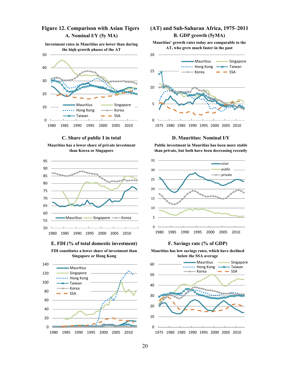# **A. Nominal I/Y (5y MA)**

**Investment rates in Mauritius are lower than during the high growth phases of the AT** 



**C. Share of public I in total** 

**Mauritius has a lower share of private investment than Korea or Singapore** 



**E. FDI (% of total domestic investment)** 

**FDI constitutes a lower share of investment than Singapore or Hong Kong** 



# **Figure 12. Comparison with Asian Tigers (AT) and Sub-Saharan Africa, 1975–2011 B. GDP growth (5yMA)**

**Mauritius' growth rates today are comparable to the AT, who grew much faster in the past** 



#### **D. Mauritius: Nominal I/Y**

**Public investment in Mauritius has been more stable than private, but both have been decreasing recently** 



### **F. Savings rate (% of GDP)**

**Mauritius has low savings rates, which have declined below the SSA average** 

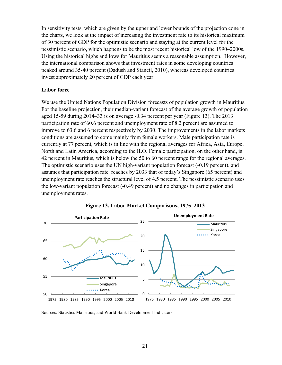In sensitivity tests, which are given by the upper and lower bounds of the projection cone in the charts, we look at the impact of increasing the investment rate to its historical maximum of 30 percent of GDP for the optimistic scenario and staying at the current level for the pessimistic scenario, which happens to be the most recent historical low of the 1990–2000s. Using the historical highs and lows for Mauritius seems a reasonable assumption. However, the international comparison shows that investment rates in some developing countries peaked around 35-40 percent (Dadush and Stancil, 2010), whereas developed countries invest approximately 20 percent of GDP each year.

# **Labor force**

We use the United Nations Population Division forecasts of population growth in Mauritius. For the baseline projection, their median-variant forecast of the average growth of population aged 15-59 during 2014–33 is on average -0.34 percent per year (Figure 13). The 2013 participation rate of 60.6 percent and unemployment rate of 8.2 percent are assumed to improve to 63.6 and 6 percent respectively by 2030. The improvements in the labor markets conditions are assumed to come mainly from female workers. Male participation rate is currently at 77 percent, which is in line with the regional averages for Africa, Asia, Europe, North and Latin America, according to the ILO. Female participation, on the other hand, is 42 percent in Mauritius, which is below the 50 to 60 percent range for the regional averages. The optimistic scenario uses the UN high-variant population forecast (-0.19 percent), and assumes that participation rate reaches by 2033 that of today's Singapore (65 percent) and unemployment rate reaches the structural level of 4.5 percent. The pessimistic scenario uses the low-variant population forecast (-0.49 percent) and no changes in participation and unemployment rates.





Sources: Statistics Mauritius; and World Bank Development Indicators.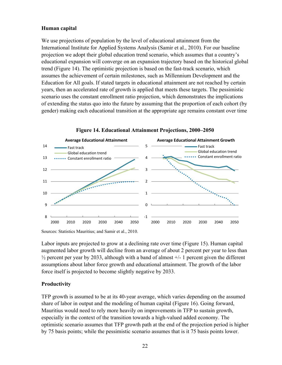# **Human capital**

We use projections of population by the level of educational attainment from the International Institute for Applied Systems Analysis (Samir et al., 2010). For our baseline projection we adopt their global education trend scenario, which assumes that a country's educational expansion will converge on an expansion trajectory based on the historical global trend (Figure 14). The optimistic projection is based on the fast-track scenario, which assumes the achievement of certain milestones, such as Millennium Development and the Education for All goals. If stated targets in educational attainment are not reached by certain years, then an accelerated rate of growth is applied that meets these targets. The pessimistic scenario uses the constant enrollment ratio projection, which demonstrates the implications of extending the status quo into the future by assuming that the proportion of each cohort (by gender) making each educational transition at the appropriate age remains constant over time



**Figure 14. Educational Attainment Projections, 2000–2050** 

Sources: Statistics Mauritius; and Samir et al., 2010.

Labor inputs are projected to grow at a declining rate over time (Figure 15). Human capital augmented labor growth will decline from an average of about 2 percent per year to less than  $\frac{1}{2}$  percent per year by 2033, although with a band of almost  $\pm$ /- 1 percent given the different assumptions about labor force growth and educational attainment. The growth of the labor force itself is projected to become slightly negative by 2033.

# **Productivity**

TFP growth is assumed to be at its 40-year average, which varies depending on the assumed share of labor in output and the modeling of human capital (Figure 16). Going forward, Mauritius would need to rely more heavily on improvements in TFP to sustain growth, especially in the context of the transition towards a high-valued added economy. The optimistic scenario assumes that TFP growth path at the end of the projection period is higher by 75 basis points; while the pessimistic scenario assumes that is it 75 basis points lower.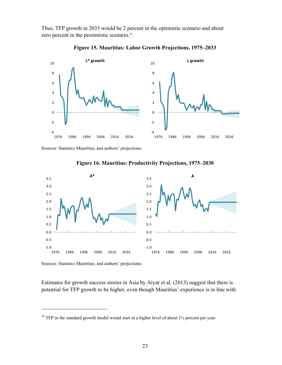Thus, TFP growth in 2033 would be 2 percent in the optimistic scenario and about zero percent in the pessimistic scenario.<sup>16</sup>



**Figure 15. Mauritius: Labor Growth Projections, 1975–2033** 

Sources: Statistics Mauritius; and authors' projections.



**Figure 16. Mauritius: Productivity Projections, 1975–2030** 

Sources: Statistics Mauritius; and authors' projections.

 $\overline{a}$ 

Estimates for growth success stories in Asia by Aiyar et al. (2013) suggest that there is potential for TFP growth to be higher, even though Mauritius' experience is in line with

<sup>&</sup>lt;sup>16</sup> TFP in the standard growth model would start at a higher level of about  $1\frac{3}{4}$  percent per year.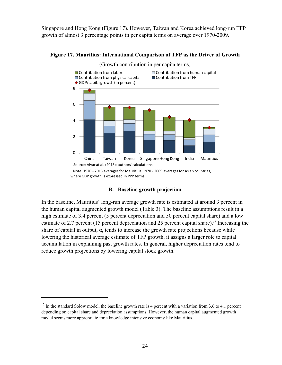Singapore and Hong Kong (Figure 17). However, Taiwan and Korea achieved long-run TFP growth of almost 3 percentage points in per capita terms on average over 1970-2009.



**Figure 17. Mauritius: International Comparison of TFP as the Driver of Growth** 

# **B. Baseline growth projection**

In the baseline, Mauritius' long-run average growth rate is estimated at around 3 percent in the human capital augmented growth model (Table 3). The baseline assumptions result in a high estimate of 3.4 percent (5 percent depreciation and 50 percent capital share) and a low estimate of 2.7 percent (15 percent depreciation and 25 percent capital share).<sup>17</sup> Increasing the share of capital in output,  $\alpha$ , tends to increase the growth rate projections because while lowering the historical average estimate of TFP growth, it assigns a larger role to capital accumulation in explaining past growth rates. In general, higher depreciation rates tend to reduce growth projections by lowering capital stock growth.

 $\overline{a}$ 

 $17$  In the standard Solow model, the baseline growth rate is 4 percent with a variation from 3.6 to 4.1 percent depending on capital share and depreciation assumptions. However, the human capital augmented growth model seems more appropriate for a knowledge intensive economy like Mauritius.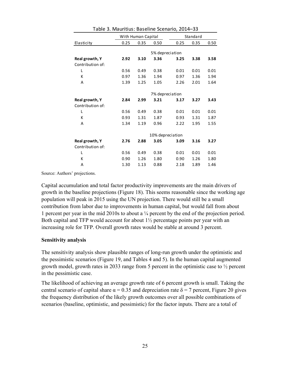|                  |      | With Human Capital |                  | Standard |      |      |  |  |
|------------------|------|--------------------|------------------|----------|------|------|--|--|
| Elasticity       | 0.25 | 0.35               | 0.50             | 0.25     | 0.35 | 0.50 |  |  |
|                  |      |                    |                  |          |      |      |  |  |
|                  |      |                    | 5% depreciation  |          |      |      |  |  |
| Real growth, Y   | 2.92 | 3.10               | 3.36             | 3.25     | 3.38 | 3.58 |  |  |
| Contribution of: |      |                    |                  |          |      |      |  |  |
| L                | 0.56 | 0.49               | 0.38             | 0.01     | 0.01 | 0.01 |  |  |
| К                | 0.97 | 1.36               | 1.94             | 0.97     | 1.36 | 1.94 |  |  |
| A                | 1.39 | 1.25               | 1.05             | 2.26     | 2.01 | 1.64 |  |  |
|                  |      |                    |                  |          |      |      |  |  |
|                  |      |                    | 7% depreciation  |          |      |      |  |  |
| Real growth, Y   | 2.84 | 2.99               | 3.21             | 3.17     | 3.27 | 3.43 |  |  |
| Contribution of: |      |                    |                  |          |      |      |  |  |
| L                | 0.56 | 0.49               | 0.38             | 0.01     | 0.01 | 0.01 |  |  |
| К                | 0.93 | 1.31               | 1.87             | 0.93     | 1.31 | 1.87 |  |  |
| A                | 1.34 | 1.19               | 0.96             | 2.22     | 1.95 | 1.55 |  |  |
|                  |      |                    |                  |          |      |      |  |  |
|                  |      |                    | 10% depreciation |          |      |      |  |  |
| Real growth, Y   | 2.76 | 2.88               | 3.05             | 3.09     | 3.16 | 3.27 |  |  |
| Contribution of: |      |                    |                  |          |      |      |  |  |
| L                | 0.56 | 0.49               | 0.38             | 0.01     | 0.01 | 0.01 |  |  |
| К                | 0.90 | 1.26               | 1.80             | 0.90     | 1.26 | 1.80 |  |  |
| A                | 1.30 | 1.13               | 0.88             | 2.18     | 1.89 | 1.46 |  |  |

Table 3. Mauritius: Baseline Scenario, 2014–33

Source: Authors' projections.

Capital accumulation and total factor productivity improvements are the main drivers of growth in the baseline projections (Figure 18). This seems reasonable since the working age population will peak in 2015 using the UN projection. There would still be a small contribution from labor due to improvements in human capital, but would fall from about 1 percent per year in the mid 2010s to about a ¼ percent by the end of the projection period. Both capital and TFP would account for about  $1\frac{1}{2}$  percentage points per year with an increasing role for TFP. Overall growth rates would be stable at around 3 percent.

# **Sensitivity analysis**

The sensitivity analysis show plausible ranges of long-run growth under the optimistic and the pessimistic scenarios (Figure 19, and Tables 4 and 5). In the human capital augmented growth model, growth rates in 2033 range from 5 percent in the optimistic case to ½ percent in the pessimistic case.

The likelihood of achieving an average growth rate of 6 percent growth is small. Taking the central scenario of capital share  $\alpha = 0.35$  and depreciation rate  $\delta = 7$  percent, Figure 20 gives the frequency distribution of the likely growth outcomes over all possible combinations of scenarios (baseline, optimistic, and pessimistic) for the factor inputs. There are a total of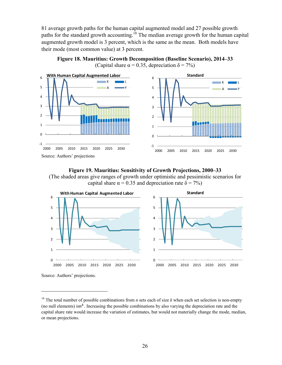81 average growth paths for the human capital augmented model and 27 possible growth paths for the standard growth accounting.<sup>18</sup> The median average growth for the human capital augmented growth model is 3 percent, which is the same as the mean. Both models have their mode (most common value) at 3 percent.



**Figure 18. Mauritius: Growth Decomposition (Baseline Scenario), 2014–33** (Capital share  $\alpha = 0.35$ , depreciation  $\delta = 7\%$ )

# **Figure 19. Mauritius: Sensitivity of Growth Projections, 2000–33**

(The shaded areas give ranges of growth under optimistic and pessimistic scenarios for capital share  $\alpha = 0.35$  and depreciation rate  $\delta = 7\%$ )



Source: Authors' projections.

 $\overline{a}$ 

<sup>&</sup>lt;sup>18</sup> The total number of possible combinations from *n* sets each of size *k* when each set selection is non-empty (no null elements) isn<sup>k</sup>. Increasing the possible combinations by also varying the depreciation rate and the capital share rate would increase the variation of estimates, but would not materially change the mode, median, or mean projections.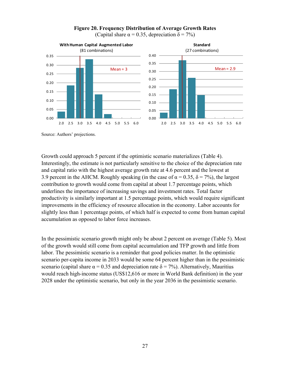

# **Figure 20. Frequency Distribution of Average Growth Rates**

(Capital share  $\alpha = 0.35$ , depreciation  $\delta = 7\%$ )

Source: Authors' projections.

Growth could approach 5 percent if the optimistic scenario materializes (Table 4). Interestingly, the estimate is not particularly sensitive to the choice of the depreciation rate and capital ratio with the highest average growth rate at 4.6 percent and the lowest at 3.9 percent in the AHCM. Roughly speaking (in the case of  $\alpha = 0.35$ ,  $\delta = 7\%$ ), the largest contribution to growth would come from capital at about 1.7 percentage points, which underlines the importance of increasing savings and investment rates. Total factor productivity is similarly important at 1.5 percentage points, which would require significant improvements in the efficiency of resource allocation in the economy. Labor accounts for slightly less than 1 percentage points, of which half is expected to come from human capital accumulation as opposed to labor force increases.

In the pessimistic scenario growth might only be about 2 percent on average (Table 5). Most of the growth would still come from capital accumulation and TFP growth and little from labor. The pessimistic scenario is a reminder that good policies matter. In the optimistic scenario per-capita income in 2033 would be some 64 percent higher than in the pessimistic scenario (capital share  $\alpha = 0.35$  and depreciation rate  $\delta = 7\%$ ). Alternatively, Mauritius would reach high-income status (US\$12,616 or more in World Bank definition) in the year 2028 under the optimistic scenario, but only in the year 2036 in the pessimistic scenario.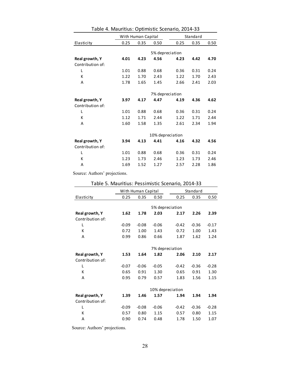|                  |      | With Human Capital |                  | Standard |      |      |  |
|------------------|------|--------------------|------------------|----------|------|------|--|
| Elasticity       | 0.25 | 0.35               | 0.50             | 0.25     | 0.35 | 0.50 |  |
|                  |      |                    |                  |          |      |      |  |
|                  |      | 5% depreciation    |                  |          |      |      |  |
| Real growth, Y   | 4.01 | 4.23               | 4.56             | 4.23     | 4.42 | 4.70 |  |
| Contribution of: |      |                    |                  |          |      |      |  |
| L                | 1.01 | 0.88               | 0.68             | 0.36     | 0.31 | 0.24 |  |
| К                | 1.22 | 1.70               | 2.43             | 1.22     | 1.70 | 2.43 |  |
| Α                | 1.78 | 1.65               | 1.45             | 2.66     | 2.41 | 2.03 |  |
|                  |      |                    |                  |          |      |      |  |
|                  |      |                    | 7% depreciation  |          |      |      |  |
| Real growth, Y   | 3.97 | 4.17               | 4.47             | 4.19     | 4.36 | 4.62 |  |
| Contribution of: |      |                    |                  |          |      |      |  |
| L                | 1.01 | 0.88               | 0.68             | 0.36     | 0.31 | 0.24 |  |
| К                | 1.12 | 1.71               | 2.44             | 1.22     | 1.71 | 2.44 |  |
| A                | 1.60 | 1.58               | 1.35             | 2.61     | 2.34 | 1.94 |  |
|                  |      |                    |                  |          |      |      |  |
|                  |      |                    | 10% depreciation |          |      |      |  |
| Real growth, Y   | 3.94 | 4.13               | 4.41             | 4.16     | 4.32 | 4.56 |  |
| Contribution of: |      |                    |                  |          |      |      |  |
| L                | 1.01 | 0.88               | 0.68             | 0.36     | 0.31 | 0.24 |  |
| К                | 1.23 | 1.73               | 2.46             | 1.23     | 1.73 | 2.46 |  |
| Α                | 1.69 | 1.52               | 1.27             | 2.57     | 2.28 | 1.86 |  |

Table 4. Mauritius: Optimistic Scenario, 2014-33

Source: Authors' projections.

|                  |         | With Human Capital |         |                  | Standard |         |  |  |
|------------------|---------|--------------------|---------|------------------|----------|---------|--|--|
| Elasticity       | 0.25    | 0.35               | 0.50    | 0.25             | 0.35     | 0.50    |  |  |
|                  |         |                    |         |                  |          |         |  |  |
|                  |         |                    |         | 5% depreciation  |          |         |  |  |
| Real growth, Y   | 1.62    | 1.78               | 2.03    | 2.17             | 2.26     | 2.39    |  |  |
| Contribution of: |         |                    |         |                  |          |         |  |  |
| L                | $-0.09$ | $-0.08$            | $-0.06$ | $-0.42$          | $-0.36$  | $-0.17$ |  |  |
| K                | 0.72    | 1.00               | 1.43    | 0.72             | 1.00     | 1.43    |  |  |
| A                | 0.99    | 0.86               | 0.66    | 1.87             | 1.62     | 1.24    |  |  |
|                  |         |                    |         |                  |          |         |  |  |
|                  |         |                    |         | 7% depreciation  |          |         |  |  |
| Real growth, Y   | 1.53    | 1.64               | 1.82    | 2.06             | 2.10     | 2.17    |  |  |
| Contribution of: |         |                    |         |                  |          |         |  |  |
| Г                | $-0.07$ | $-0.06$            | $-0.05$ | $-0.42$          | $-0.36$  | $-0.28$ |  |  |
| К                | 0.65    | 0.91               | 1.30    | 0.65             | 0.91     | 1.30    |  |  |
| A                | 0.95    | 0.79               | 0.57    | 1.83             | 1.56     | 1.15    |  |  |
|                  |         |                    |         |                  |          |         |  |  |
|                  |         |                    |         | 10% depreciation |          |         |  |  |
| Real growth, Y   | 1.39    | 1.46               | 1.57    | 1.94             | 1.94     | 1.94    |  |  |
| Contribution of: |         |                    |         |                  |          |         |  |  |
| L                | $-0.09$ | $-0.08$            | $-0.06$ | $-0.42$          | $-0.36$  | $-0.28$ |  |  |
| К                | 0.57    | 0.80               | 1.15    | 0.57             | 0.80     | 1.15    |  |  |
| A                | 0.90    | 0.74               | 0.48    | 1.78             | 1.50     | 1.07    |  |  |

Table 5. Mauritius: Pessimistic Scenario, 2014-33

Source: Authors' projections.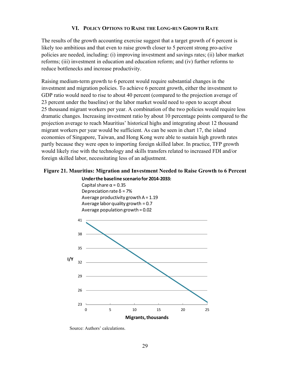# **VI. POLICY OPTIONS TO RAISE THE LONG-RUN GROWTH RATE**

The results of the growth accounting exercise suggest that a target growth of 6 percent is likely too ambitious and that even to raise growth closer to 5 percent strong pro-active policies are needed, including: (i) improving investment and savings rates; (ii) labor market reforms; (iii) investment in education and education reform; and (iv) further reforms to reduce bottlenecks and increase productivity.

Raising medium-term growth to 6 percent would require substantial changes in the investment and migration policies. To achieve 6 percent growth, either the investment to GDP ratio would need to rise to about 40 percent (compared to the projection average of 23 percent under the baseline) or the labor market would need to open to accept about 25 thousand migrant workers per year. A combination of the two policies would require less dramatic changes. Increasing investment ratio by about 10 percentage points compared to the projection average to reach Mauritius' historical highs and integrating about 12 thousand migrant workers per year would be sufficient. As can be seen in chart 17, the island economies of Singapore, Taiwan, and Hong Kong were able to sustain high growth rates partly because they were open to importing foreign skilled labor. In practice, TFP growth would likely rise with the technology and skills transfers related to increased FDI and/or foreign skilled labor, necessitating less of an adjustment.

# **Figure 21. Mauritius: Migration and Investment Needed to Raise Growth to 6 Percent**

# **Underthe baseline scenario for 2014-2033:**





Source: Authors' calculations.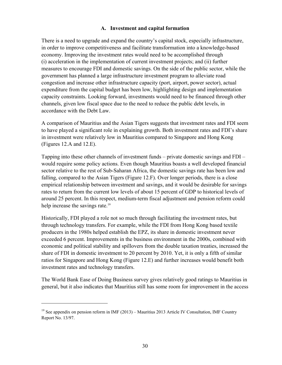# **A. Investment and capital formation**

There is a need to upgrade and expand the country's capital stock, especially infrastructure, in order to improve competitiveness and facilitate transformation into a knowledge-based economy. Improving the investment rates would need to be accomplished through (i) acceleration in the implementation of current investment projects; and (ii) further measures to encourage FDI and domestic savings. On the side of the public sector, while the government has planned a large infrastructure investment program to alleviate road congestion and increase other infrastructure capacity (port, airport, power sector), actual expenditure from the capital budget has been low, highlighting design and implementation capacity constraints. Looking forward, investments would need to be financed through other channels, given low fiscal space due to the need to reduce the public debt levels, in accordance with the Debt Law.

A comparison of Mauritius and the Asian Tigers suggests that investment rates and FDI seem to have played a significant role in explaining growth. Both investment rates and FDI's share in investment were relatively low in Mauritius compared to Singapore and Hong Kong (Figures 12.A and 12.E).

Tapping into these other channels of investment funds – private domestic savings and FDI – would require some policy actions. Even though Mauritius boasts a well developed financial sector relative to the rest of Sub-Saharan Africa, the domestic savings rate has been low and falling, compared to the Asian Tigers (Figure 12.F). Over longer periods, there is a close empirical relationship between investment and savings, and it would be desirable for savings rates to return from the current low levels of about 15 percent of GDP to historical levels of around 25 percent. In this respect, medium-term fiscal adjustment and pension reform could help increase the savings rate.<sup>19</sup>

Historically, FDI played a role not so much through facilitating the investment rates, but through technology transfers. For example, while the FDI from Hong Kong based textile producers in the 1980s helped establish the EPZ, its share in domestic investment never exceeded 6 percent. Improvements in the business environment in the 2000s, combined with economic and political stability and spillovers from the double taxation treaties, increased the share of FDI in domestic investment to 20 percent by 2010. Yet, it is only a fifth of similar ratios for Singapore and Hong Kong (Figure 12.E) and further increases would benefit both investment rates and technology transfers.

The World Bank Ease of Doing Business survey gives relatively good ratings to Mauritius in general, but it also indicates that Mauritius still has some room for improvement in the access

 $\overline{a}$ 

<sup>&</sup>lt;sup>19</sup> See appendix on pension reform in IMF (2013) – Mauritius 2013 Article IV Consultation, IMF Country Report No. 13/97.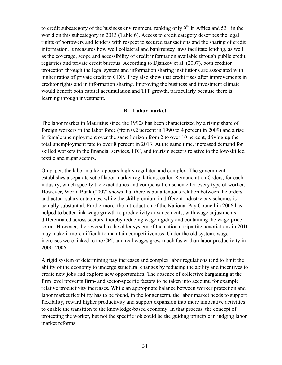to credit subcategory of the business environment, ranking only  $9<sup>th</sup>$  in Africa and  $53<sup>rd</sup>$  in the world on this subcategory in 2013 (Table 6). Access to credit category describes the legal rights of borrowers and lenders with respect to secured transactions and the sharing of credit information. It measures how well collateral and bankruptcy laws facilitate lending, as well as the coverage, scope and accessibility of credit information available through public credit registries and private credit bureaus. According to Djankov et al. (2007), both creditor protection through the legal system and information sharing institutions are associated with higher ratios of private credit to GDP. They also show that credit rises after improvements in creditor rights and in information sharing. Improving the business and investment climate would benefit both capital accumulation and TFP growth, particularly because there is learning through investment.

# **B. Labor market**

The labor market in Mauritius since the 1990s has been characterized by a rising share of foreign workers in the labor force (from 0.2 percent in 1990 to 4 percent in 2009) and a rise in female unemployment over the same horizon from 2 to over 10 percent, driving up the total unemployment rate to over 8 percent in 2013. At the same time, increased demand for skilled workers in the financial services, ITC, and tourism sectors relative to the low-skilled textile and sugar sectors.

On paper, the labor market appears highly regulated and complex. The government establishes a separate set of labor market regulations, called Remuneration Orders, for each industry, which specify the exact duties and compensation scheme for every type of worker. However, World Bank (2007) shows that there is but a tenuous relation between the orders and actual salary outcomes, while the skill premium in different industry pay schemes is actually substantial. Furthermore, the introduction of the National Pay Council in 2006 has helped to better link wage growth to productivity advancements, with wage adjustments differentiated across sectors, thereby reducing wage rigidity and containing the wage-price spiral. However, the reversal to the older system of the national tripartite negotiations in 2010 may make it more difficult to maintain competitiveness. Under the old system, wage increases were linked to the CPI, and real wages grew much faster than labor productivity in 2000–2006.

A rigid system of determining pay increases and complex labor regulations tend to limit the ability of the economy to undergo structural changes by reducing the ability and incentives to create new jobs and explore new opportunities. The absence of collective bargaining at the firm level prevents firm- and sector-specific factors to be taken into account, for example relative productivity increases. While an appropriate balance between worker protection and labor market flexibility has to be found, in the longer term, the labor market needs to support flexibility, reward higher productivity and support expansion into more innovative activities to enable the transition to the knowledge-based economy. In that process, the concept of protecting the worker, but not the specific job could be the guiding principle in judging labor market reforms.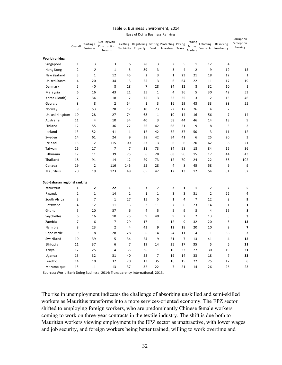|                              |                |                               |                                         |                | <b>Ease of Doing Business Ranking</b>                                 |                |                  |                |                                     |                |                                   |                                     |
|------------------------------|----------------|-------------------------------|-----------------------------------------|----------------|-----------------------------------------------------------------------|----------------|------------------|----------------|-------------------------------------|----------------|-----------------------------------|-------------------------------------|
|                              | Overall        | Starting a<br><b>Business</b> | Dealing with<br>Construction<br>Permits |                | Getting Registering Getting Protecting Paying<br>Electricity Property |                | Credit Investors | Taxes          | Trading<br>Across<br><b>Borders</b> | Enforcing      | Resolving<br>Contracts Insolvency | Corruption<br>Perception<br>Ranking |
| <b>World ranking</b>         |                |                               |                                         |                |                                                                       |                |                  |                |                                     |                |                                   |                                     |
| Singapore                    | $\mathbf 1$    | 3                             | 3                                       | 6              | 28                                                                    | 3              | $\overline{2}$   | 5              | $\mathbf 1$                         | 12             | 4                                 | 5                                   |
| Hong Kong                    | $\overline{2}$ | 5                             | $\mathbf 1$                             | 5              | 89                                                                    | 3              | 3                | 4              | $\overline{2}$                      | 9              | 19                                | 15                                  |
| New Zealand                  | 3              | $\mathbf{1}$                  | 12                                      | 45             | $\overline{2}$                                                        | 3              | $\mathbf{1}$     | 23             | 21                                  | 18             | 12                                | $\mathbf 1$                         |
| <b>United States</b>         | $\overline{4}$ | 20                            | 34                                      | 13             | 25                                                                    | 3              | 6                | 64             | 22                                  | 11             | 17                                | 19                                  |
| Denmark                      | 5              | 40                            | 8                                       | 18             | $\overline{7}$                                                        | 28             | 34               | 12             | 8                                   | 32             | 10                                | $\mathbf 1$                         |
| Malaysia                     | 6              | 16                            | 43                                      | 21             | 35                                                                    | $\mathbf{1}$   | 4                | 36             | 5                                   | 30             | 42                                | 53                                  |
| Korea (South)                | 7              | 34                            | 18                                      | $\overline{2}$ | 75                                                                    | 13             | 52               | 25             | 3                                   | $\overline{2}$ | 15                                | 46                                  |
| Georgia                      | 8              | 8                             | $\overline{2}$                          | 54             | $\mathbf 1$                                                           | 3              | 16               | 29             | 43                                  | 33             | 88                                | 55                                  |
| Norway                       | 9              | 53                            | 28                                      | 17             | 10                                                                    | 73             | 22               | 17             | 26                                  | 4              | $\overline{2}$                    | 5                                   |
| United Kingdom               | 10             | 28                            | 27                                      | 74             | 68                                                                    | $1\,$          | 10               | 14             | 16                                  | 56             | 7                                 | 14                                  |
| Australia                    | 11             | 4                             | 10                                      | 34             | 40                                                                    | 3              | 68               | 44             | 46                                  | 14             | 18                                | 9                                   |
| Finland                      | 12             | 55                            | 36                                      | 22             | 26                                                                    | 42             | 68               | 21             | 9                                   | 8              | 3                                 | 3                                   |
| Iceland                      | 13             | 52                            | 41                                      | $1\,$          | 12                                                                    | 42             | 52               | 37             | 50                                  | 3              | 11                                | 12                                  |
| Sweden                       | 14             | 61                            | 24                                      | 9              | 38                                                                    | 42             | 34               | 41             | 6                                   | 25             | 20                                | 3                                   |
| Ireland                      | 15             | 12                            | 115                                     | 100            | 57                                                                    | 13             | 6                | 6              | 20                                  | 62             | 8                                 | 21                                  |
| Taiwan                       | 16             | 17                            | 7                                       | $\overline{7}$ | 31                                                                    | 73             | 34               | 58             | 18                                  | 84             | 16                                | 36                                  |
| Lithuania                    | 17             | 11                            | 39                                      | 75             | 6                                                                     | 28             | 68               | 56             | 15                                  | 17             | 44                                | 43                                  |
| Thailand                     | 18             | 91                            | 14                                      | 12             | 29                                                                    | 73             | 12               | 70             | 24                                  | 22             | 58                                | 102                                 |
| Canada                       | 19             | 2                             | 116                                     | 145            | 55                                                                    | 28             | 4                | 8              | 45                                  | 58             | 9                                 | 9                                   |
| Mauritius                    | 20             | 19                            | 123                                     | 48             | 65                                                                    | 42             | 12               | 13             | 12                                  | 54             | 61                                | 52                                  |
| Sub-Saharan regional ranking |                |                               |                                         |                |                                                                       |                |                  |                |                                     |                |                                   |                                     |
| <b>Mauritius</b>             | 1              | $\mathbf{2}$                  | 22                                      | $\mathbf{1}$   | $\overline{\phantom{a}}$                                              | 7              | $\mathbf{2}$     | 1              | $\mathbf{1}$                        | $\overline{7}$ | $\overline{2}$                    | 5                                   |
| Rwanda                       | $\mathbf 2$    | $\mathbf{1}$                  | 14                                      | $\overline{2}$ | $\mathbf{1}$                                                          | $\mathbf{1}$   | 3                | 3              | 31                                  | $\overline{2}$ | 22                                | 4                                   |
| South Africa                 | 3              | 7                             | $\mathbf 1$                             | 27             | 15                                                                    | 5              | $\mathbf{1}$     | 4              | 7                                   | 12             | 8                                 | 9                                   |
| <b>Botswana</b>              | $\overline{4}$ | 12                            | 11                                      | 13             | $\overline{2}$                                                        | 11             | $\overline{7}$   | 6              | 23                                  | 14             | $\mathbf 1$                       | $\mathbf 1$                         |
| Ghana                        | 5              | 20                            | 37                                      | 6              | $\overline{4}$                                                        | 5              | 5                | 9              | 8                                   | $\overline{4}$ | 16                                | 8                                   |
| Seychelles                   | 6              | 16                            | 10                                      | 25             | 9                                                                     | 40             | 9                | $\overline{2}$ | $\overline{2}$                      | 13             | 3                                 | 3                                   |
| Zambia                       | $\overline{7}$ | 6                             | $\overline{7}$                          | 29             | 17                                                                    | $1\,$          | 12               | 9              | 32                                  | 20             | 5                                 | 13                                  |
| Namibia                      | 8              | 23                            | $\overline{2}$                          | 4              | 43                                                                    | 9              | 12               | 18             | 20                                  | 10             | 9                                 | 7                                   |
| Cape Verde                   | 9              | 8                             | 28                                      | 28             | 6                                                                     | 14             | 24               | 11             | $\overline{4}$                      | $\mathbf{1}$   | 38                                | $\overline{\mathbf{2}}$             |
| Swaziland                    | 10             | 39                            | 5                                       | 34             | 24                                                                    | 9              | 21               | $\overline{7}$ | 13                                  | 41             | 4                                 | 12                                  |
| Ethiopia                     | 11             | 37                            | 6                                       | $\overline{7}$ | 19                                                                    | 14             | 35               | 17             | 35                                  | 5              | 6                                 | 21                                  |
| Kenya                        | 12             | 25                            | 4                                       | 35             | 36                                                                    | $1\,$          | 16               | 33             | 27                                  | 30             | 19                                | 31                                  |
| Uganda                       | 13             | 32                            | 31                                      | 40             | 22                                                                    | $\overline{7}$ | 19               | 14             | 33                                  | 18             | 7                                 | 33                                  |
| Lesotho                      | 14             | 10                            | 32                                      | 20             | 13                                                                    | 35             | 16               | 15             | 22                                  | 25             | 12                                | 6                                   |
| Mozambique                   | 15             | 11                            | 13                                      | 37             | 32                                                                    | 22             | $\overline{7}$   | 21             | 14                                  | 26             | 26                                | 23                                  |

### Table 6. Business Environment, 2014

Sources: World Bank Doing Business, 2014; Transparency International, 2013.

The rise in unemployment indicates the challenge of absorbing unskilled and semi-skilled workers as Mauritius transforms into a more services-oriented economy. The EPZ sector shifted to employing foreign workers, who are predominantly Chinese female workers coming to work on three-year contracts in the textile industry. The shift is due both to Mauritian workers viewing employment in the EPZ sector as unattractive, with lower wages and job security, and foreign workers being better trained, willing to work overtime and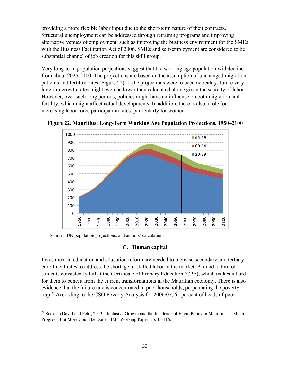providing a more flexible labor input due to the short-term nature of their contracts. Structural unemployment can be addressed through retraining programs and improving alternative venues of employment, such as improving the business environment for the SMEs with the Business Facilitation Act of 2006. SMEs and self-employment are considered to be substantial channel of job creation for this skill group.

Very long-term population projections suggest that the working age population will decline from about 2025-2100. The projections are based on the assumption of unchanged migration patterns and fertility rates (Figure 22). If the projections were to become reality, future very long run growth rates might even be lower than calculated above given the scarcity of labor. However, over such long periods, policies might have an influence on both migration and fertility, which might affect actual developments. In addition, there is also a role for increasing labor force participation rates, particularly for women.



**Figure 22. Mauritius: Long-Term Working Age Population Projections, 1950–2100** 

Sources: UN population projections; and authors' calculation.

 $\overline{a}$ 

# **C. Human capital**

Investment in education and education reform are needed to increase secondary and tertiary enrollment rates to address the shortage of skilled labor in the market. Around a third of students consistently fail at the Certificate of Primary Education (CPE), which makes it hard for them to benefit from the current transformations in the Mauritian economy. There is also evidence that the failure rate is concentrated in poor households, perpetuating the poverty trap.20 According to the CSO Poverty Analysis for 2006/07, 65 percent of heads of poor

<sup>&</sup>lt;sup>20</sup> See also David and Petri, 2013, "Inclusive Growth and the Incidence of Fiscal Policy in Mauritius — Much Progress, But More Could be Done", IMF Working Paper No. 13/116.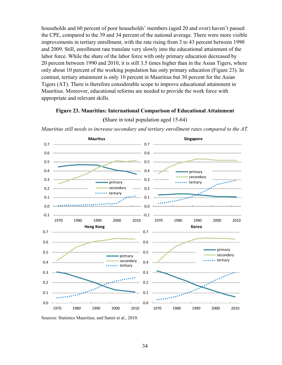households and 60 percent of poor households' members (aged 20 and over) haven't passed the CPE, compared to the 39 and 34 percent of the national average. There were more visible improvements in tertiary enrollment, with the rate rising from 3 to 43 percent between 1990 and 2009. Still, enrollment rate translate very slowly into the educational attainment of the labor force. While the share of the labor force with only primary education decreased by 20 percent between 1990 and 2010, it is still 3.5 times higher than in the Asian Tigers, where only about 10 percent of the working population has only primary education (Figure 23). In contrast, tertiary attainment is only 10 percent in Mauritius but 30 percent for the Asian Tigers (AT). There is therefore considerable scope to improve educational attainment in Mauritius. Moreover, educational reforms are needed to provide the work force with appropriate and relevant skills.

### **Figure 23. Mauritius: International Comparison of Educational Attainment**



### **(**Share in total population aged 15-64)

*Mauritius still needs to increase secondary and tertiary enrollment rates compared to the AT.* 

Sources: Statistics Mauritius; and Samir et al., 2010.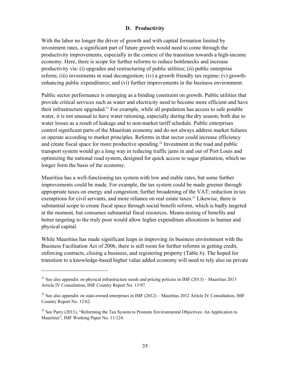# **D. Productivity**

With the labor no longer the driver of growth and with capital formation limited by investment rates, a significant part of future growth would need to come through the productivity improvements, especially in the context of the transition towards a high-income economy. Here, there is scope for further reforms to reduce bottlenecks and increase productivity via: (i) upgrades and restructuring of public utilities; (ii) public enterprise reform; (iii) investments in road decongestion; (iv) a growth friendly tax regime; (v) growthenhancing public expenditures; and (vi) further improvements in the business environment.

Public sector performance is emerging as a binding constraint on growth. Public utilities that provide critical services such as water and electricity need to become more efficient and have their infrastructure upgraded.<sup>21</sup> For example, while all population has access to safe potable water, it is not unusual to have water rationing, especially during the dry season, both due to water losses as a result of leakage and to non-market tariff schedule. Public enterprises control significant parts of the Mauritian economy and do not always address market failures or operate according to market principles. Reforms in that sector could increase efficiency and create fiscal space for more productive spending.<sup>22</sup> Investment in the road and public transport system would go a long way in reducing traffic jams in and out of Port Louis and optimizing the national road system, designed for quick access to sugar plantation, which no longer form the basis of the economy.

Mauritius has a well-functioning tax system with low and stable rates, but some further improvements could be made. For example, the tax system could be made greener through appropriate taxes on energy and congestion; further broadening of the VAT; reduction in tax exemptions for civil servants, and more reliance on real estate taxes.<sup>23</sup> Likewise, there is substantial scope to create fiscal space through social benefit reform, which is badly targeted at the moment, but consumes substantial fiscal resources. Means-testing of benefits and better targeting to the truly poor would allow higher expenditure allocations to human and physical capital.

While Mauritius has made significant leaps in improving its business environment with the Business Facilitation Act of 2006, there is still room for further reforms in getting credit, enforcing contracts, closing a business, and registering property (Table 6). The hoped for transition to a knowledge-based higher value added economy will need to rely also on private

1

<sup>&</sup>lt;sup>21</sup> See also appendix on physical infrastructure needs and pricing policies in IMF (2013) – Mauritius 2013 Article IV Consultation, IMF Country Report No. 13/97.

<sup>&</sup>lt;sup>22</sup> See also appendix on state-owned enterprises in IMF (2012) – Mauritius 2012 Article IV Consultation, IMF Country Report No. 12/62.

<sup>&</sup>lt;sup>23</sup> See Parry (2011), "Reforming the Tax System to Promote Environmental Objectives: An Application to Mauritius", IMF Working Paper No. 11/124.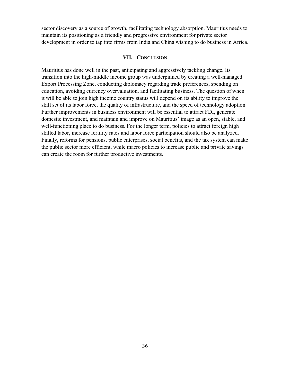sector discovery as a source of growth, facilitating technology absorption. Mauritius needs to maintain its positioning as a friendly and progressive environment for private sector development in order to tap into firms from India and China wishing to do business in Africa.

# **VII. CONCLUSION**

Mauritius has done well in the past, anticipating and aggressively tackling change. Its transition into the high-middle income group was underpinned by creating a well-managed Export Processing Zone, conducting diplomacy regarding trade preferences, spending on education, avoiding currency overvaluation, and facilitating business. The question of when it will be able to join high income country status will depend on its ability to improve the skill set of its labor force, the quality of infrastructure, and the speed of technology adoption. Further improvements in business environment will be essential to attract FDI, generate domestic investment, and maintain and improve on Mauritius' image as an open, stable, and well-functioning place to do business. For the longer term, policies to attract foreign high skilled labor, increase fertility rates and labor force participation should also be analyzed. Finally, reforms for pensions, public enterprises, social benefits, and the tax system can make the public sector more efficient, while macro policies to increase public and private savings can create the room for further productive investments.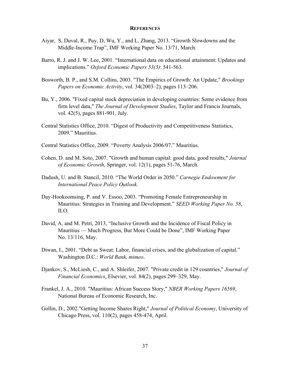### **REFERENCES**

- Aiyar, S, Duval, R., Puy, D, Wu, Y., and L. Zhang, 2013. "Growth Slowdowns and the Middle-Income Trap", IMF Working Paper No. 13/71, March.
- Barro, R. J. and J. W. Lee, 2001. "International data on educational attainment: Updates and implications." *Oxford Economic Papers 53(3)*: 541-563.
- Bosworth, B. P., and S.M. Collins, 2003. "The Empirics of Growth: An Update," *Brookings Papers on Economic Activity*, vol. 34(2003–2), pages 113–206.
- Bu, Y., 2006. "Fixed capital stock depreciation in developing countries: Some evidence from firm level data," *The Journal of Development Studies*, Taylor and Francis Journals, vol. 42(5), pages 881-901, July.
- Central Statistics Office, 2010. "Digest of Productivity and Competitiveness Statistics, 2009." Mauritius.
- Central Statistics Office, 2009. "Poverty Analysis 2006/07." Mauritius.
- Cohen, D. and M. Soto, 2007. "Growth and human capital: good data, good results," *Journal of Economic Growth*, Springer, vol. 12(1), pages 51-76, March.
- Dadush, U. and B. Stancil, 2010. "The World Order in 2050." *Carnegie Endowment for International Peace Policy Outlook.*
- Day-Hookoomsing, P. and V. Essoo, 2003. "Promoting Female Entrepreneurship in Mauritius: Strategies in Training and Development." *SEED Working Paper No. 58*, ILO.
- David, A. and M. Petri, 2013, "Inclusive Growth and the Incidence of Fiscal Policy in Mauritius — Much Progress, But More Could be Done", IMF Working Paper No. 13/116, May.
- Diwan, I., 2001. "Debt as Sweat: Labor, financial crises, and the globalization of capital." Washington D.C.: *World Bank, mimeo*.
- Djankov, S., McLiesh, C., and A. Shleifer, 2007. "Private credit in 129 countries," *Journal of Financial Economics*, Elsevier, vol. 84(2), pages 299–329, May.
- Frankel, J. A., 2010. "Mauritius: African Success Story," *NBER Working Papers 16569*, National Bureau of Economic Research, Inc.
- Gollin, D., 2002."Getting Income Shares Right," *Journal of Political Economy*, University of Chicago Press, vol. 110(2), pages 458-474, April.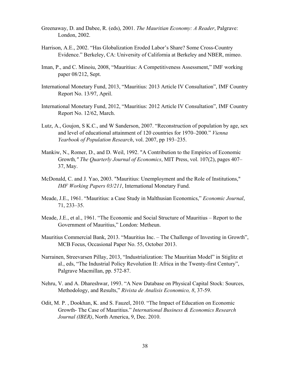- Greenaway, D. and Dabee, R. (eds), 2001. *The Mauritian Economy: A Reader*, Palgrave: London, 2002.
- Harrison, A.E., 2002. "Has Globalization Eroded Labor's Share? Some Cross-Country Evidence." Berkeley, CA: University of California at Berkeley and NBER, mimeo.
- Iman, P., and C. Minoiu, 2008, "Mauritius: A Competitiveness Assessment," IMF working paper 08/212, Sept.
- International Monetary Fund, 2013, "Mauritius: 2013 Article IV Consultation", IMF Country Report No. 13/97, April.
- International Monetary Fund, 2012, "Mauritius: 2012 Article IV Consultation", IMF Country Report No. 12/62, March.
- Lutz, A., Goujon, S K.C., and W Sanderson, 2007. "Reconstruction of population by age, sex and level of educational attainment of 120 countries for 1970–2000." *Vienna Yearbook of Population Research*, vol. 2007, pp 193–235.
- Mankiw, N., Romer, D., and D. Weil, 1992. "A Contribution to the Empirics of Economic Growth*," The Quarterly Journal of Economics*, MIT Press, vol. 107(2), pages 407– 37, May.
- McDonald, C. and J. Yao, 2003. "Mauritius: Unemployment and the Role of Institutions," *IMF Working Papers 03/211*, International Monetary Fund.
- Meade, J.E., 1961. "Mauritius: a Case Study in Malthusian Economics," *Economic Journal*, 71, 233–35.
- Meade, J.E., et al., 1961. "The Economic and Social Structure of Mauritius Report to the Government of Mauritius," London: Metheun.
- Mauritius Commercial Bank, 2013. "Mauritius Inc. The Challenge of Investing in Growth", MCB Focus, Occasional Paper No. 55, October 2013.
- Narrainen, Streevarsen Pillay, 2013, "Industrialization: The Mauritian Model" in Stiglitz et al., eds, "The Industrial Policy Revolution II: Africa in the Twenty-first Century", Palgrave Macmillan, pp. 572-87.
- Nehru, V. and A. Dhareshwar, 1993. "A New Database on Physical Capital Stock: Sources, Methodology, and Results," *Rivista de Analisis Economico, 8*, 37-59.
- Odit, M. P. , Dookhan, K. and S. Fauzel, 2010. "The Impact of Education on Economic Growth- The Case of Mauritius." *International Business & Economics Research Journal (IBER)*, North America, 9, Dec. 2010.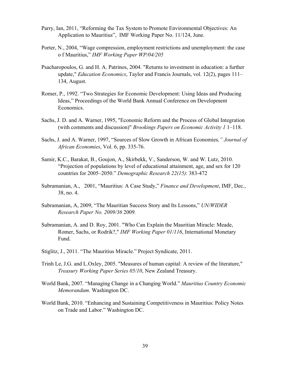- Parry, Ian, 2011, "Reforming the Tax System to Promote Environmental Objectives: An Application to Mauritius", IMF Working Paper No. 11/124, June.
- Porter, N., 2004, "Wage compression, employment restrictions and unemployment: the case o f Mauritius," *IMF Working Paper WP/04/205*
- Psacharopoulos, G. and H. A. Patrinos, 2004. "Returns to investment in education: a further update," *Education Economics*, Taylor and Francis Journals, vol. 12(2), pages 111– 134, August.
- Romer, P., 1992. "Two Strategies for Economic Development: Using Ideas and Producing Ideas," Proceedings of the World Bank Annual Conference on Development Economics.
- Sachs, J. D. and A. Warner, 1995, "Economic Reform and the Process of Global Integration (with comments and discussion)" *Brookings Papers on Economic Activity 1* 1–118.
- Sachs, J. and A. Warner, 1997, "Sources of Slow Growth in African Economies*," Journal of African Economies*, Vol. 6, pp. 335-76.
- Samir, K.C., Barakat, B., Goujon, A., Skirbekk, V., Sanderson, W. and W. Lutz, 2010. "Projection of populations by level of educational attainment, age, and sex for 120 countries for 2005–2050." *Demographic Research 22(15)*: 383-472
- Subramanian, A., 2001, "Mauritius: A Case Study," *Finance and Development*, IMF, Dec., 38, no. 4.
- Subramanian, A, 2009, "The Mauritian Success Story and Its Lessons," *UN/WIDER Research Paper No. 2009/36* 2009.
- Subramanian, A. and D. Roy, 2001. "Who Can Explain the Mauritian Miracle: Meade, Romer, Sachs, or Rodrik?," *IMF Working Paper 01/116*, International Monetary Fund.
- Stiglitz, J., 2011. "The Mauritius Miracle." Project Syndicate, 2011.
- Trinh Le, J.G. and L.Oxley, 2005. "Measures of human capital: A review of the literature," *Treasury Working Paper Series 05/10*, New Zealand Treasury.
- World Bank, 2007. "Managing Change in a Changing World." *Mauritius Country Economic Memorandum.* Washington DC.
- World Bank, 2010. "Enhancing and Sustaining Competitiveness in Mauritius: Policy Notes on Trade and Labor." Washington DC.